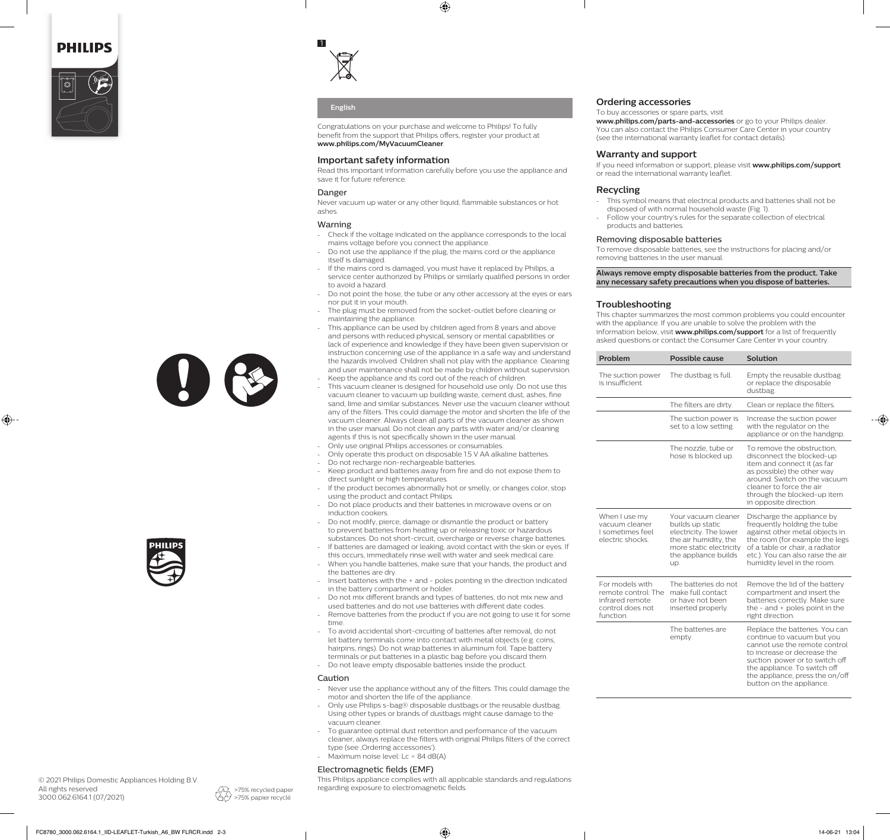# **PHILIPS**



 $\bigoplus$ 



1

## **English**

Congratulations on your purchase and welcome to Philips! To fully benefit from the support that Philips offers, register your product at **www.philips.com/MyVacuumCleaner**.

## **Important safety information**

Read this important information carefully before you use the appliance and save it for future reference.

 $\bigoplus$ 

## Danger

Never vacuum up water or any other liquid, flammable substances or hot ashes.

## Warning

- Check if the voltage indicated on the appliance corresponds to the local mains voltage before you connect the appliance.
- Do not use the appliance if the plug, the mains cord or the appliance itself is damaged.
- If the mains cord is damaged, you must have it replaced by Philips, a service center authorized by Philips or similarly qualified persons in order to avoid a hazard.
- Do not point the hose, the tube or any other accessory at the eyes or ears nor put it in your mouth.
- The plug must be removed from the socket-outlet before cleaning or maintaining the appliance.
- This appliance can be used by children aged from 8 years and above and persons with reduced physical, sensory or mental capabilities or lack of experience and knowledge if they have been given supervision or instruction concerning use of the appliance in a safe way and understand the hazards involved. Children shall not play with the appliance. Cleaning and user maintenance shall not be made by children without supervision. Keep the appliance and its cord out of the reach of children.
- This vacuum cleaner is designed for household use only. Do not use this vacuum cleaner to vacuum up building waste, cement dust, ashes, fine sand, lime and similar substances. Never use the vacuum cleaner without any of the filters. This could damage the motor and shorten the life of the vacuum cleaner. Always clean all parts of the vacuum cleaner as shown in the user manual. Do not clean any parts with water and/or cleaning agents if this is not specifically shown in the user manual.
- Only use original Philips accessories or consumables.
- Only operate this product on disposable 1.5 V AA alkaline batteries.
- Do not recharge non-rechargeable batteries.
- Keep product and batteries away from fire and do not expose them to direct sunlight or high temperatures.
- If the product becomes abnormally hot or smelly, or changes color, stop using the product and contact Philips.
- Do not place products and their batteries in microwave ovens or on induction cookers.
- Do not modify, pierce, damage or dismantle the product or battery to prevent batteries from heating up or releasing toxic or hazardous substances. Do not short-circuit, overcharge or reverse charge batteries.
- If batteries are damaged or leaking, avoid contact with the skin or eyes. If this occurs, immediately rinse well with water and seek medical care.
- When you handle batteries, make sure that your hands, the product and the batteries are dry.
- Insert batteries with the + and poles pointing in the direction indicated in the battery compartment or holder.
- Do not mix different brands and types of batteries, do not mix new and used batteries and do not use batteries with different date codes.
- Remove batteries from the product if you are not going to use it for some time.
- To avoid accidental short-circuiting of batteries after removal, do not let battery terminals come into contact with metal objects (e.g. coins, hairpins, rings). Do not wrap batteries in aluminum foil. Tape battery terminals or put batteries in a plastic bag before you discard them. - Do not leave empty disposable batteries inside the product.

#### Caution

- Never use the appliance without any of the filters. This could damage the motor and shorten the life of the appliance.
- Only use Philips s-bag® disposable dustbags or the reusable dustbag. Using other types or brands of dustbags might cause damage to the vacuum cleaner.
- To guarantee optimal dust retention and performance of the vacuum cleaner, always replace the filters with original Philips filters of the correct type (see ,Ordering accessories').
- Maximum noise level: Lc = 84 dB(A)

## Electromagnetic fields (EMF)

This Philips appliance complies with all applicable standards and regulations regarding exposure to electromagnetic fields.

#### **Ordering accessories**

To buy accessories or spare parts, visit

**www.philips.com/parts-and-accessories** or go to your Philips dealer. You can also contact the Philips Consumer Care Center in your country (see the international warranty leaflet for contact details).

#### **Warranty and support**

If you need information or support, please visit **www.philips.com/support**  or read the international warranty leaflet.

## **Recycling**

- This symbol means that electrical products and batteries shall not be disposed of with normal household waste (Fig. 1).
- Follow your country's rules for the separate collection of electrical products and batteries.

#### Removing disposable batteries

To remove disposable batteries, see the instructions for placing and/or removing batteries in the user manual.

**Always remove empty disposable batteries from the product. Take any necessary safety precautions when you dispose of batteries.**

## **Troubleshooting**

This chapter summarizes the most common problems you could encounter with the appliance. If you are unable to solve the problem with the information below, visit **www.philips.com/support** for a list of frequently asked questions or contact the Consumer Care Center in your country.

| Problem                                                                                    | Possible cause                                                                                                                                       | Solution                                                                                                                                                                                                                                                       |
|--------------------------------------------------------------------------------------------|------------------------------------------------------------------------------------------------------------------------------------------------------|----------------------------------------------------------------------------------------------------------------------------------------------------------------------------------------------------------------------------------------------------------------|
| The suction power<br>is insufficient.                                                      | The dustbag is full.                                                                                                                                 | Empty the reusable dustbag<br>or replace the disposable<br>dustbag.                                                                                                                                                                                            |
|                                                                                            | The filters are dirty.                                                                                                                               | Clean or replace the filters.                                                                                                                                                                                                                                  |
|                                                                                            | The suction power is<br>set to a low setting.                                                                                                        | Increase the suction power<br>with the regulator on the<br>appliance or on the handgrip.                                                                                                                                                                       |
|                                                                                            | The nozzle, tube or<br>hose is blocked up.                                                                                                           | To remove the obstruction,<br>disconnect the blocked-up<br>item and connect it (as far<br>as possible) the other way<br>around. Switch on the vacuum<br>cleaner to force the air<br>through the blocked-up item<br>in opposite direction.                      |
| When I use my<br>vacuum cleaner<br>I sometimes feel<br>electric shocks.                    | Your vacuum cleaner<br>builds up static<br>electricity. The lower<br>the air humidity, the<br>more static electricity<br>the appliance builds<br>up. | Discharge the appliance by<br>frequently holding the tube<br>against other metal objects in<br>the room (for example the legs<br>of a table or chair, a radiator<br>etc.). You can also raise the air<br>humidity level in the room.                           |
| For models with<br>remote control: The<br>infrared remote<br>control does not<br>function. | The batteries do not<br>make full contact<br>or have not been<br>inserted properly.                                                                  | Remove the lid of the battery<br>compartment and insert the<br>batteries correctly. Make sure<br>the - and $+$ poles point in the<br>right direction.                                                                                                          |
|                                                                                            | The batteries are<br>empty.                                                                                                                          | Replace the batteries. You can<br>continue to vacuum but you<br>cannot use the remote control<br>to increase or decrease the<br>suction, power or to switch off<br>the appliance. To switch off<br>the appliance, press the on/off<br>button on the appliance. |

© 2021 Philips Domestic Appliances Holding B.V. All rights reserved 3000.062.6164.1 (07/2021)

>75% recycled paper >75% papier recyclé

 $\Theta$